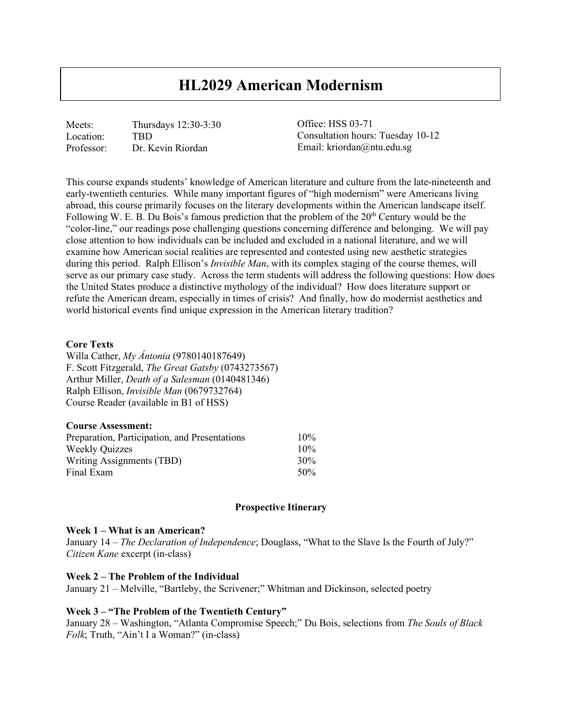# **HL2029 American Modernism**

Meets: Thursdays 12:30-3:30 Location: TBD Professor: Dr. Kevin Riordan

Office: HSS 03-71 Consultation hours: Tuesday 10-12 Email: kriordan@ntu.edu.sg

This course expands students' knowledge of American literature and culture from the late-nineteenth and early-twentieth centuries. While many important figures of "high modernism" were Americans living abroad, this course primarily focuses on the literary developments within the American landscape itself. Following W. E. B. Du Bois's famous prediction that the problem of the  $20<sup>th</sup>$  Century would be the "color-line," our readings pose challenging questions concerning difference and belonging. We will pay close attention to how individuals can be included and excluded in a national literature, and we will examine how American social realities are represented and contested using new aesthetic strategies during this period. Ralph Ellison's *Invisible Man*, with its complex staging of the course themes, will serve as our primary case study. Across the term students will address the following questions: How does the United States produce a distinctive mythology of the individual? How does literature support or refute the American dream, especially in times of crisis? And finally, how do modernist aesthetics and world historical events find unique expression in the American literary tradition?

## **Core Texts**

Willa Cather, *My Ántonia* (9780140187649) F. Scott Fitzgerald, *The Great Gatsby* (0743273567) Arthur Miller, *Death of a Salesman* (0140481346) Ralph Ellison, *Invisible Man* (0679732764) Course Reader (available in B1 of HSS)

| <b>Course Assessment:</b>                     |     |
|-----------------------------------------------|-----|
| Preparation, Participation, and Presentations | 10% |
| <b>Weekly Quizzes</b>                         | 10% |
| Writing Assignments (TBD)                     | 30% |
| Final Exam                                    | 50% |

#### **Prospective Itinerary**

#### **Week 1 – What is an American?**

January 14 – *The Declaration of Independence*; Douglass, "What to the Slave Is the Fourth of July?" *Citizen Kane* excerpt (in-class)

#### **Week 2 – The Problem of the Individual**

January 21 – Melville, "Bartleby, the Scrivener;" Whitman and Dickinson, selected poetry

## **Week 3 – "The Problem of the Twentieth Century"**

January 28 – Washington, "Atlanta Compromise Speech;" Du Bois, selections from *The Souls of Black Folk*; Truth, "Ain't I a Woman?" (in-class)